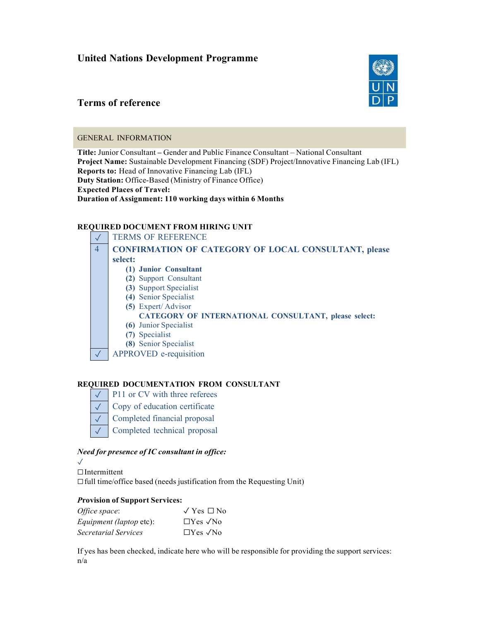# United Nations Development Programme

# Terms of reference

## GENERAL INFORMATION

Title: Junior Consultant – Gender and Public Finance Consultant – National Consultant Project Name: Sustainable Development Financing (SDF) Project/Innovative Financing Lab (IFL) Reports to: Head of Innovative Financing Lab (IFL) Duty Station: Office-Based (Ministry of Finance Office) Expected Places of Travel: Duration of Assignment: 110 working days within 6 Months

## REQUIRED DOCUMENT FROM HIRING UNIT



## REQUIRED DOCUMENTATION FROM CONSULTANT

- $\sqrt{\frac{P11}{P11}}$  or CV with three referees
- Copy of education certificate ✓
- Completed financial proposal ✓
- Completed technical proposal ✓

## Need for presence of IC consultant in office:

 $\sqrt{ }$ ☐Intermittent  $\Box$  full time/office based (needs justification from the Requesting Unit)

## Provision of Support Services:

| Office space:                  | $\sqrt{Y}$ es $\Box$ No     |
|--------------------------------|-----------------------------|
| <i>Equipment (laptop etc):</i> | $\Box$ Yes $\sqrt{N\omega}$ |
| <i>Secretarial Services</i>    | $\Box$ Yes $\sqrt{N\Omega}$ |

If yes has been checked, indicate here who will be responsible for providing the support services:  $n/a$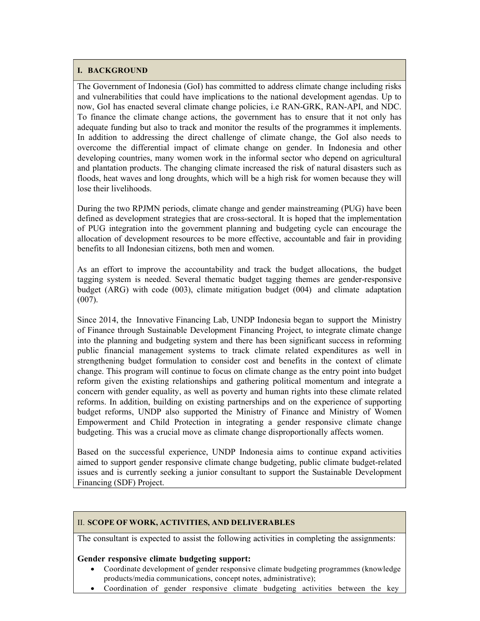#### I. BACKGROUND

The Government of Indonesia (GoI) has committed to address climate change including risks and vulnerabilities that could have implications to the national development agendas. Up to now, GoI has enacted several climate change policies, i.e RAN-GRK, RAN-API, and NDC. To finance the climate change actions, the government has to ensure that it not only has adequate funding but also to track and monitor the results of the programmes it implements. In addition to addressing the direct challenge of climate change, the GoI also needs to overcome the differential impact of climate change on gender. In Indonesia and other developing countries, many women work in the informal sector who depend on agricultural and plantation products. The changing climate increased the risk of natural disasters such as floods, heat waves and long droughts, which will be a high risk for women because they will lose their livelihoods.

During the two RPJMN periods, climate change and gender mainstreaming (PUG) have been defined as development strategies that are cross-sectoral. It is hoped that the implementation of PUG integration into the government planning and budgeting cycle can encourage the allocation of development resources to be more effective, accountable and fair in providing benefits to all Indonesian citizens, both men and women.

As an effort to improve the accountability and track the budget allocations, the budget tagging system is needed. Several thematic budget tagging themes are gender-responsive budget (ARG) with code (003), climate mitigation budget (004) and climate adaptation (007).

Since 2014, the Innovative Financing Lab, UNDP Indonesia began to support the Ministry of Finance through Sustainable Development Financing Project, to integrate climate change into the planning and budgeting system and there has been significant success in reforming public financial management systems to track climate related expenditures as well in strengthening budget formulation to consider cost and benefits in the context of climate change. This program will continue to focus on climate change as the entry point into budget reform given the existing relationships and gathering political momentum and integrate a concern with gender equality, as well as poverty and human rights into these climate related reforms. In addition, building on existing partnerships and on the experience of supporting budget reforms, UNDP also supported the Ministry of Finance and Ministry of Women Empowerment and Child Protection in integrating a gender responsive climate change budgeting. This was a crucial move as climate change disproportionally affects women.

Based on the successful experience, UNDP Indonesia aims to continue expand activities aimed to support gender responsive climate change budgeting, public climate budget-related issues and is currently seeking a junior consultant to support the Sustainable Development Financing (SDF) Project.

## II. SCOPE OF WORK, ACTIVITIES, AND DELIVERABLES

The consultant is expected to assist the following activities in completing the assignments:

## Gender responsive climate budgeting support:

- Coordinate development of gender responsive climate budgeting programmes (knowledge products/media communications, concept notes, administrative);
- Coordination of gender responsive climate budgeting activities between the key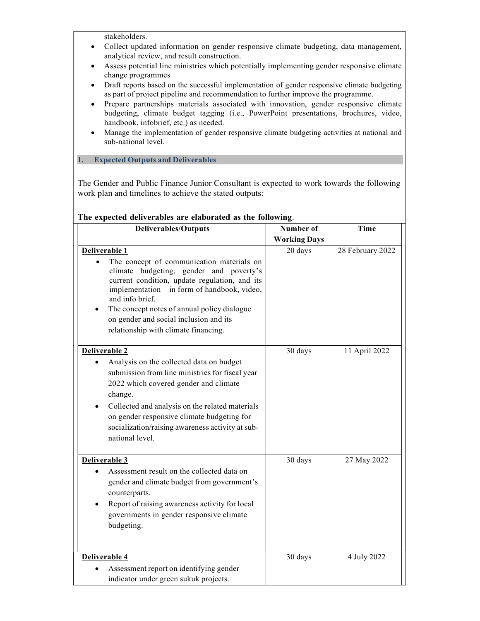stakeholders.

- Collect updated information on gender responsive climate budgeting, data management, analytical review, and result construction.
- Assess potential line ministries which potentially implementing gender responsive climate change programmes
- Draft reports based on the successful implementation of gender responsive climate budgeting as part of project pipeline and recommendation to further improve the programme.
- Prepare partnerships materials associated with innovation, gender responsive climate budgeting, climate budget tagging (i.e., PowerPoint presentations, brochures, video, handbook, infobrief, etc.) as needed.
- Manage the implementation of gender responsive climate budgeting activities at national and sub-national level.

1. Expected Outputs and Deliverables

The Gender and Public Finance Junior Consultant is expected to work towards the following work plan and timelines to achieve the stated outputs:

| <b>Deliverables/Outputs</b>                                                                                                                                                                                                                                                                                                                                                          | Number of<br><b>Working Days</b> | Time             |
|--------------------------------------------------------------------------------------------------------------------------------------------------------------------------------------------------------------------------------------------------------------------------------------------------------------------------------------------------------------------------------------|----------------------------------|------------------|
| Deliverable 1<br>The concept of communication materials on<br>$\bullet$<br>climate budgeting, gender and poverty's<br>current condition, update regulation, and its<br>implementation - in form of handbook, video,<br>and info brief.<br>The concept notes of annual policy dialogue<br>$\bullet$<br>on gender and social inclusion and its<br>relationship with climate financing. | 20 days                          | 28 February 2022 |
| Deliverable <sub>2</sub><br>Analysis on the collected data on budget<br>$\bullet$<br>submission from line ministries for fiscal year<br>2022 which covered gender and climate<br>change.<br>Collected and analysis on the related materials<br>$\bullet$<br>on gender responsive climate budgeting for<br>socialization/raising awareness activity at sub-<br>national level.        | 30 days                          | 11 April 2022    |
| Deliverable 3<br>Assessment result on the collected data on<br>$\bullet$<br>gender and climate budget from government's<br>counterparts.<br>Report of raising awareness activity for local<br>$\bullet$<br>governments in gender responsive climate<br>budgeting.                                                                                                                    | 30 days                          | 27 May 2022      |
| Deliverable 4<br>Assessment report on identifying gender<br>$\bullet$<br>indicator under green sukuk projects.                                                                                                                                                                                                                                                                       | 30 days                          | 4 July 2022      |

#### The expected deliverables are elaborated as the following.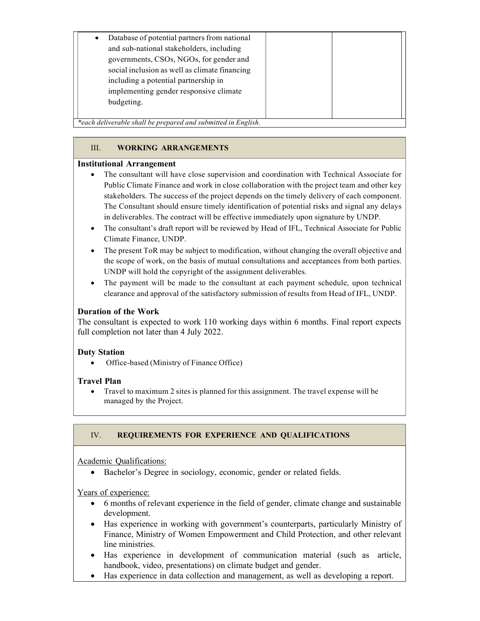| Database of potential partners from national  |
|-----------------------------------------------|
| and sub-national stakeholders, including      |
| governments, CSOs, NGOs, for gender and       |
| social inclusion as well as climate financing |
| including a potential partnership in          |
| implementing gender responsive climate        |
| budgeting.                                    |
|                                               |

\*each deliverable shall be prepared and submitted in English.

## III. WORKING ARRANGEMENTS

## Institutional Arrangement

- The consultant will have close supervision and coordination with Technical Associate for Public Climate Finance and work in close collaboration with the project team and other key stakeholders. The success of the project depends on the timely delivery of each component. The Consultant should ensure timely identification of potential risks and signal any delays in deliverables. The contract will be effective immediately upon signature by UNDP.
- The consultant's draft report will be reviewed by Head of IFL, Technical Associate for Public Climate Finance, UNDP.
- The present ToR may be subject to modification, without changing the overall objective and the scope of work, on the basis of mutual consultations and acceptances from both parties. UNDP will hold the copyright of the assignment deliverables.
- The payment will be made to the consultant at each payment schedule, upon technical clearance and approval of the satisfactory submission of results from Head of IFL, UNDP.

## Duration of the Work

The consultant is expected to work 110 working days within 6 months. Final report expects full completion not later than 4 July 2022.

## Duty Station

Office-based (Ministry of Finance Office)

## Travel Plan

 Travel to maximum 2 sites is planned for this assignment. The travel expense will be managed by the Project.

## IV. REQUIREMENTS FOR EXPERIENCE AND QUALIFICATIONS

## Academic Qualifications:

Bachelor's Degree in sociology, economic, gender or related fields.

## Years of experience:

- 6 months of relevant experience in the field of gender, climate change and sustainable development.
- Has experience in working with government's counterparts, particularly Ministry of Finance, Ministry of Women Empowerment and Child Protection, and other relevant line ministries.
- Has experience in development of communication material (such as article, handbook, video, presentations) on climate budget and gender.
- Has experience in data collection and management, as well as developing a report.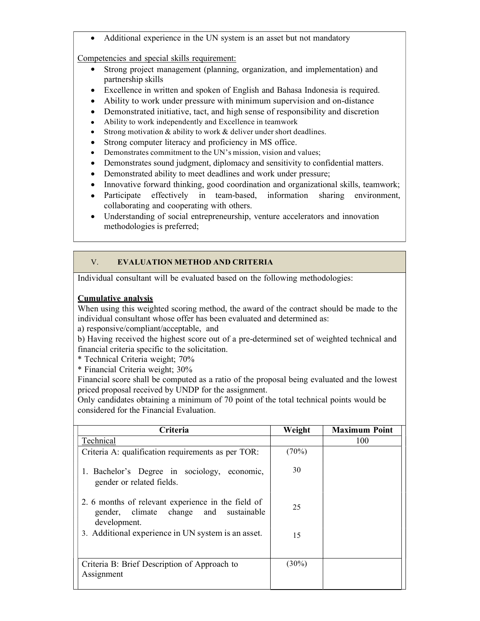Additional experience in the UN system is an asset but not mandatory

Competencies and special skills requirement:

- Strong project management (planning, organization, and implementation) and partnership skills
- Excellence in written and spoken of English and Bahasa Indonesia is required.
- Ability to work under pressure with minimum supervision and on-distance
- Demonstrated initiative, tact, and high sense of responsibility and discretion
- Ability to work independently and Excellence in teamwork
- Strong motivation & ability to work & deliver under short deadlines.
- Strong computer literacy and proficiency in MS office.
- Demonstrates commitment to the UN's mission, vision and values;
- Demonstrates sound judgment, diplomacy and sensitivity to confidential matters.
- Demonstrated ability to meet deadlines and work under pressure;
- Innovative forward thinking, good coordination and organizational skills, teamwork;
- Participate effectively in team-based, information sharing environment, collaborating and cooperating with others.
- Understanding of social entrepreneurship, venture accelerators and innovation methodologies is preferred;

## V. EVALUATION METHOD AND CRITERIA

Individual consultant will be evaluated based on the following methodologies:

## Cumulative analysis

When using this weighted scoring method, the award of the contract should be made to the individual consultant whose offer has been evaluated and determined as:

a) responsive/compliant/acceptable, and

b) Having received the highest score out of a pre-determined set of weighted technical and financial criteria specific to the solicitation.

\* Technical Criteria weight; 70%

\* Financial Criteria weight; 30%

Financial score shall be computed as a ratio of the proposal being evaluated and the lowest priced proposal received by UNDP for the assignment.

Only candidates obtaining a minimum of 70 point of the total technical points would be considered for the Financial Evaluation.

| Criteria                                                                                                     | Weight   | <b>Maximum Point</b> |
|--------------------------------------------------------------------------------------------------------------|----------|----------------------|
| Technical                                                                                                    |          | 100                  |
| Criteria A: qualification requirements as per TOR:                                                           | $(70\%)$ |                      |
| 1. Bachelor's Degree in sociology, economic,<br>gender or related fields.                                    | 30       |                      |
| 2. 6 months of relevant experience in the field of<br>gender, climate change and sustainable<br>development. | 25       |                      |
| 3. Additional experience in UN system is an asset.                                                           | 15       |                      |
| Criteria B: Brief Description of Approach to<br>Assignment                                                   | $(30\%)$ |                      |